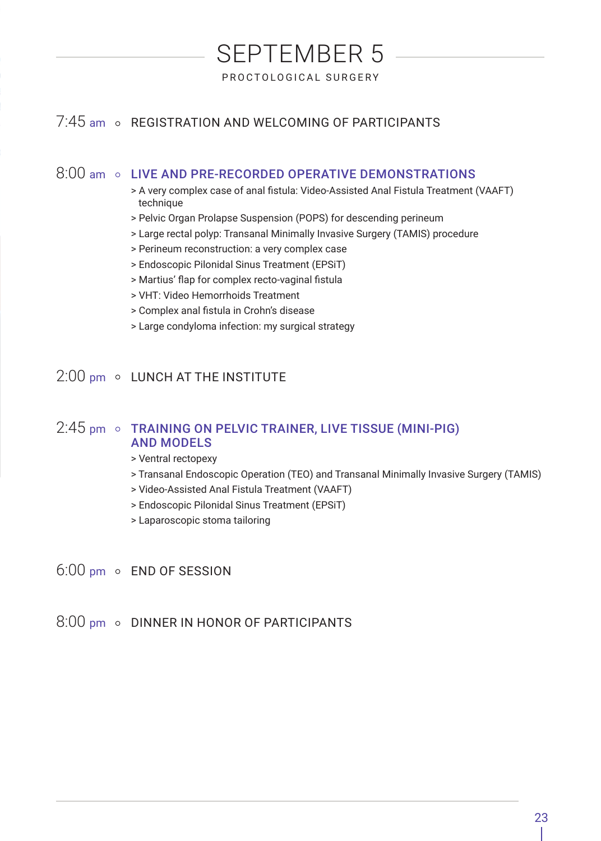# SEPTEMBER 5 PROCTOLOGICAL SURGERY

# 7:45 am o REGISTRATION AND WELCOMING OF PARTICIPANTS

## 8:00 am © LIVE AND PRE-RECORDED OPERATIVE DEMONSTRATIONS

- > A very complex case of anal fistula: Video-Assisted Anal Fistula Treatment (VAAFT) technique
- > Pelvic Organ Prolapse Suspension (POPS) for descending perineum
- > Large rectal polyp: Transanal Minimally Invasive Surgery (TAMIS) procedure
- > Perineum reconstruction: a very complex case
- > Endoscopic Pilonidal Sinus Treatment (EPSiT)
- > Martius' flap for complex recto-vaginal fistula
- > VHT: Video Hemorrhoids Treatment
- > Complex anal fistula in Crohn's disease
- > Large condyloma infection: my surgical strategy

# $2:00$  pm  $\circ$  LUNCH AT THE INSTITUTE

## $2:45$  pm  $\circ$  TRAINING ON PELVIC TRAINER, LIVE TISSUE (MINI-PIG) AND MODELS

- > Ventral rectopexy
- > Transanal Endoscopic Operation (TEO) and Transanal Minimally Invasive Surgery (TAMIS)
- > Video-Assisted Anal Fistula Treatment (VAAFT)
- > Endoscopic Pilonidal Sinus Treatment (EPSiT)
- > Laparoscopic stoma tailoring
- 6:00 pm o END OF SESSION
- 8:00 pm o DINNER IN HONOR OF PARTICIPANTS